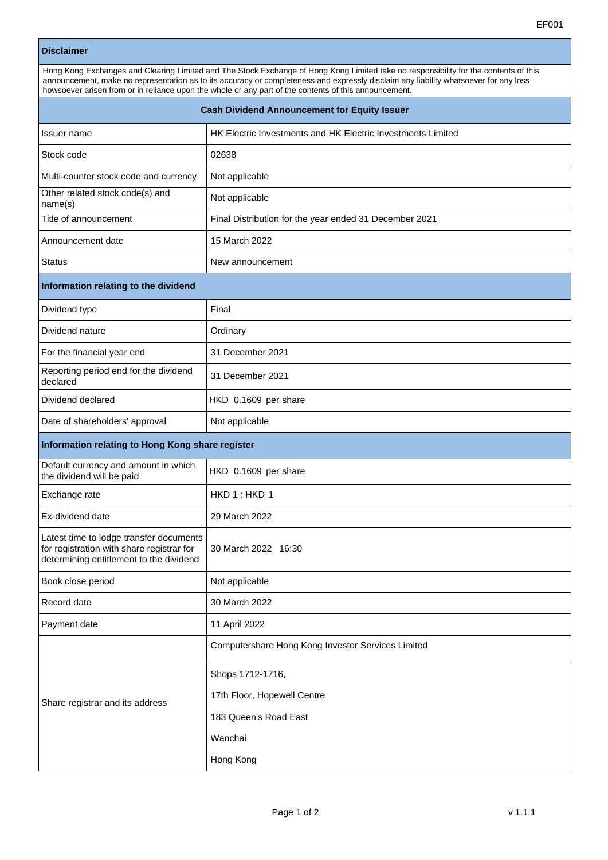## **Disclaimer**

| DISCIAIIIEI                                                                                                                                                                                                                                                                                                                                                                           |                                                             |
|---------------------------------------------------------------------------------------------------------------------------------------------------------------------------------------------------------------------------------------------------------------------------------------------------------------------------------------------------------------------------------------|-------------------------------------------------------------|
| Hong Kong Exchanges and Clearing Limited and The Stock Exchange of Hong Kong Limited take no responsibility for the contents of this<br>announcement, make no representation as to its accuracy or completeness and expressly disclaim any liability whatsoever for any loss<br>howsoever arisen from or in reliance upon the whole or any part of the contents of this announcement. |                                                             |
| <b>Cash Dividend Announcement for Equity Issuer</b>                                                                                                                                                                                                                                                                                                                                   |                                                             |
| Issuer name                                                                                                                                                                                                                                                                                                                                                                           | HK Electric Investments and HK Electric Investments Limited |
| Stock code                                                                                                                                                                                                                                                                                                                                                                            | 02638                                                       |
| Multi-counter stock code and currency                                                                                                                                                                                                                                                                                                                                                 | Not applicable                                              |
| Other related stock code(s) and<br>name(s)                                                                                                                                                                                                                                                                                                                                            | Not applicable                                              |
| Title of announcement                                                                                                                                                                                                                                                                                                                                                                 | Final Distribution for the year ended 31 December 2021      |
| Announcement date                                                                                                                                                                                                                                                                                                                                                                     | 15 March 2022                                               |
| <b>Status</b>                                                                                                                                                                                                                                                                                                                                                                         | New announcement                                            |
| Information relating to the dividend                                                                                                                                                                                                                                                                                                                                                  |                                                             |
| Dividend type                                                                                                                                                                                                                                                                                                                                                                         | Final                                                       |
| Dividend nature                                                                                                                                                                                                                                                                                                                                                                       | Ordinary                                                    |
| For the financial year end                                                                                                                                                                                                                                                                                                                                                            | 31 December 2021                                            |
| Reporting period end for the dividend<br>declared                                                                                                                                                                                                                                                                                                                                     | 31 December 2021                                            |
| Dividend declared                                                                                                                                                                                                                                                                                                                                                                     | HKD 0.1609 per share                                        |
| Date of shareholders' approval                                                                                                                                                                                                                                                                                                                                                        | Not applicable                                              |
| Information relating to Hong Kong share register                                                                                                                                                                                                                                                                                                                                      |                                                             |
| Default currency and amount in which<br>the dividend will be paid                                                                                                                                                                                                                                                                                                                     | HKD 0.1609 per share                                        |
| Exchange rate                                                                                                                                                                                                                                                                                                                                                                         | HKD 1: HKD 1                                                |
| Ex-dividend date                                                                                                                                                                                                                                                                                                                                                                      | 29 March 2022                                               |
| Latest time to lodge transfer documents<br>for registration with share registrar for<br>determining entitlement to the dividend                                                                                                                                                                                                                                                       | 30 March 2022 16:30                                         |
| Book close period                                                                                                                                                                                                                                                                                                                                                                     | Not applicable                                              |
| Record date                                                                                                                                                                                                                                                                                                                                                                           | 30 March 2022                                               |
| Payment date                                                                                                                                                                                                                                                                                                                                                                          | 11 April 2022                                               |
|                                                                                                                                                                                                                                                                                                                                                                                       | Computershare Hong Kong Investor Services Limited           |
| Share registrar and its address                                                                                                                                                                                                                                                                                                                                                       | Shops 1712-1716,                                            |
|                                                                                                                                                                                                                                                                                                                                                                                       | 17th Floor, Hopewell Centre                                 |
|                                                                                                                                                                                                                                                                                                                                                                                       | 183 Queen's Road East                                       |
|                                                                                                                                                                                                                                                                                                                                                                                       | Wanchai                                                     |

Hong Kong